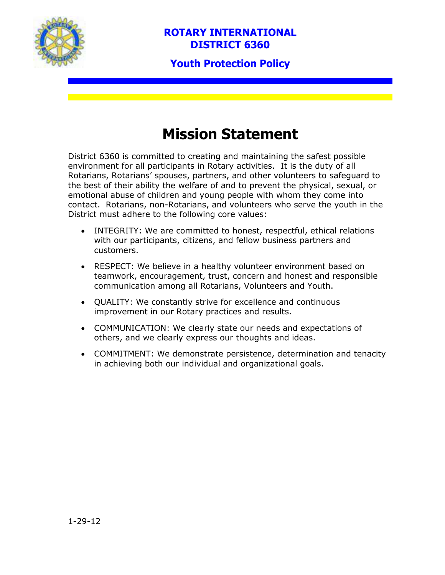

# **Mission Statement**

District 6360 is committed to creating and maintaining the safest possible environment for all participants in Rotary activities. It is the duty of all Rotarians, Rotarians' spouses, partners, and other volunteers to safeguard to the best of their ability the welfare of and to prevent the physical, sexual, or emotional abuse of children and young people with whom they come into contact. Rotarians, non-Rotarians, and volunteers who serve the youth in the District must adhere to the following core values:

- INTEGRITY: We are committed to honest, respectful, ethical relations with our participants, citizens, and fellow business partners and customers.
- RESPECT: We believe in a healthy volunteer environment based on teamwork, encouragement, trust, concern and honest and responsible communication among all Rotarians, Volunteers and Youth.
- QUALITY: We constantly strive for excellence and continuous improvement in our Rotary practices and results.
- COMMUNICATION: We clearly state our needs and expectations of others, and we clearly express our thoughts and ideas.
- COMMITMENT: We demonstrate persistence, determination and tenacity in achieving both our individual and organizational goals.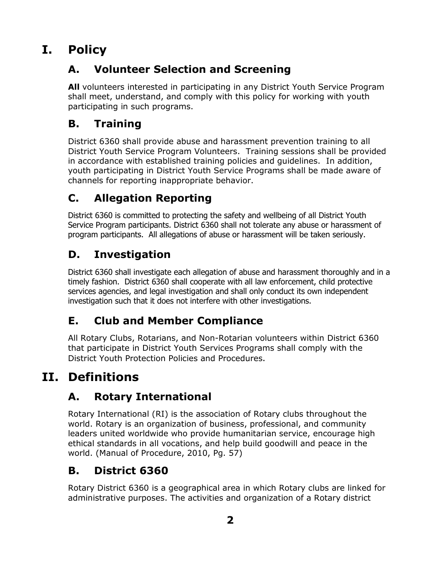# **I. Policy**

# **A. Volunteer Selection and Screening**

**All** volunteers interested in participating in any District Youth Service Program shall meet, understand, and comply with this policy for working with youth participating in such programs.

# **B. Training**

District 6360 shall provide abuse and harassment prevention training to all District Youth Service Program Volunteers. Training sessions shall be provided in accordance with established training policies and guidelines. In addition, youth participating in District Youth Service Programs shall be made aware of channels for reporting inappropriate behavior.

# **C. Allegation Reporting**

District 6360 is committed to protecting the safety and wellbeing of all District Youth Service Program participants. District 6360 shall not tolerate any abuse or harassment of program participants. All allegations of abuse or harassment will be taken seriously.

# **D. Investigation**

District 6360 shall investigate each allegation of abuse and harassment thoroughly and in a timely fashion. District 6360 shall cooperate with all law enforcement, child protective services agencies, and legal investigation and shall only conduct its own independent investigation such that it does not interfere with other investigations.

## **E. Club and Member Compliance**

All Rotary Clubs, Rotarians, and Non-Rotarian volunteers within District 6360 that participate in District Youth Services Programs shall comply with the District Youth Protection Policies and Procedures.

# **II. Definitions**

## **A. Rotary International**

Rotary International (RI) is the association of Rotary clubs throughout the world. Rotary is an organization of business, professional, and community leaders united worldwide who provide humanitarian service, encourage high ethical standards in all vocations, and help build goodwill and peace in the world. (Manual of Procedure, 2010, Pg. 57)

# **B. District 6360**

Rotary District 6360 is a geographical area in which Rotary clubs are linked for administrative purposes. The activities and organization of a Rotary district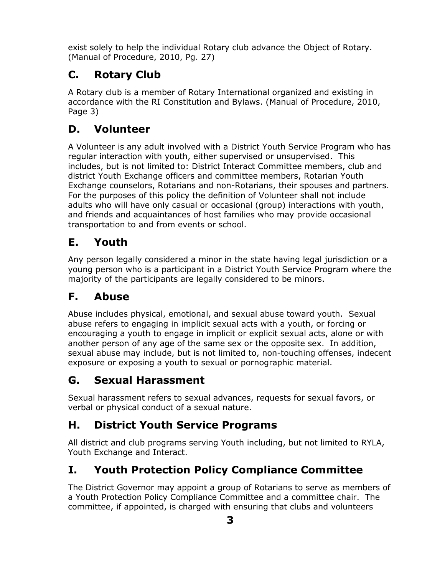exist solely to help the individual Rotary club advance the Object of Rotary. (Manual of Procedure, 2010, Pg. 27)

## **C. Rotary Club**

A Rotary club is a member of Rotary International organized and existing in accordance with the RI Constitution and Bylaws. (Manual of Procedure, 2010, Page 3)

# **D. Volunteer**

A Volunteer is any adult involved with a District Youth Service Program who has regular interaction with youth, either supervised or unsupervised. This includes, but is not limited to: District Interact Committee members, club and district Youth Exchange officers and committee members, Rotarian Youth Exchange counselors, Rotarians and non-Rotarians, their spouses and partners. For the purposes of this policy the definition of Volunteer shall not include adults who will have only casual or occasional (group) interactions with youth, and friends and acquaintances of host families who may provide occasional transportation to and from events or school.

#### **E. Youth**

Any person legally considered a minor in the state having legal jurisdiction or a young person who is a participant in a District Youth Service Program where the majority of the participants are legally considered to be minors.

## **F. Abuse**

Abuse includes physical, emotional, and sexual abuse toward youth. Sexual abuse refers to engaging in implicit sexual acts with a youth, or forcing or encouraging a youth to engage in implicit or explicit sexual acts, alone or with another person of any age of the same sex or the opposite sex. In addition, sexual abuse may include, but is not limited to, non-touching offenses, indecent exposure or exposing a youth to sexual or pornographic material.

## **G. Sexual Harassment**

Sexual harassment refers to sexual advances, requests for sexual favors, or verbal or physical conduct of a sexual nature.

## **H. District Youth Service Programs**

All district and club programs serving Youth including, but not limited to RYLA, Youth Exchange and Interact.

# **I. Youth Protection Policy Compliance Committee**

The District Governor may appoint a group of Rotarians to serve as members of a Youth Protection Policy Compliance Committee and a committee chair. The committee, if appointed, is charged with ensuring that clubs and volunteers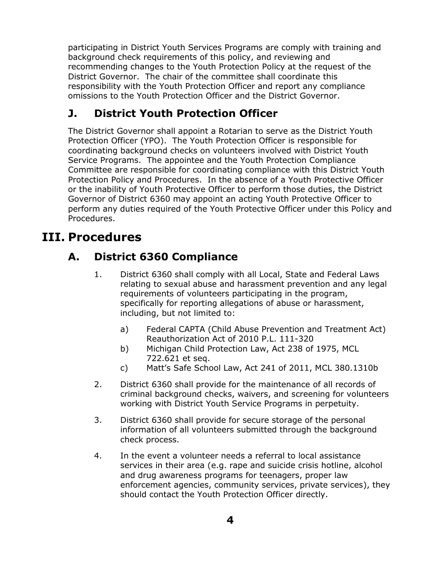participating in District Youth Services Programs are comply with training and background check requirements of this policy, and reviewing and recommending changes to the Youth Protection Policy at the request of the District Governor. The chair of the committee shall coordinate this responsibility with the Youth Protection Officer and report any compliance omissions to the Youth Protection Officer and the District Governor.

#### **J. District Youth Protection Officer**

The District Governor shall appoint a Rotarian to serve as the District Youth Protection Officer (YPO). The Youth Protection Officer is responsible for coordinating background checks on volunteers involved with District Youth Service Programs. The appointee and the Youth Protection Compliance Committee are responsible for coordinating compliance with this District Youth Protection Policy and Procedures. In the absence of a Youth Protective Officer or the inability of Youth Protective Officer to perform those duties, the District Governor of District 6360 may appoint an acting Youth Protective Officer to perform any duties required of the Youth Protective Officer under this Policy and Procedures.

# **III. Procedures**

## **A. District 6360 Compliance**

- 1. District 6360 shall comply with all Local, State and Federal Laws relating to sexual abuse and harassment prevention and any legal requirements of volunteers participating in the program, specifically for reporting allegations of abuse or harassment, including, but not limited to:
	- a) Federal CAPTA (Child Abuse Prevention and Treatment Act) Reauthorization Act of 2010 P.L. 111-320
	- b) Michigan Child Protection Law, Act 238 of 1975, MCL 722.621 et seq.
	- c) Matt's Safe School Law, Act 241 of 2011, MCL 380.1310b
- 2. District 6360 shall provide for the maintenance of all records of criminal background checks, waivers, and screening for volunteers working with District Youth Service Programs in perpetuity.
- 3. District 6360 shall provide for secure storage of the personal information of all volunteers submitted through the background check process.
- 4. In the event a volunteer needs a referral to local assistance services in their area (e.g. rape and suicide crisis hotline, alcohol and drug awareness programs for teenagers, proper law enforcement agencies, community services, private services), they should contact the Youth Protection Officer directly.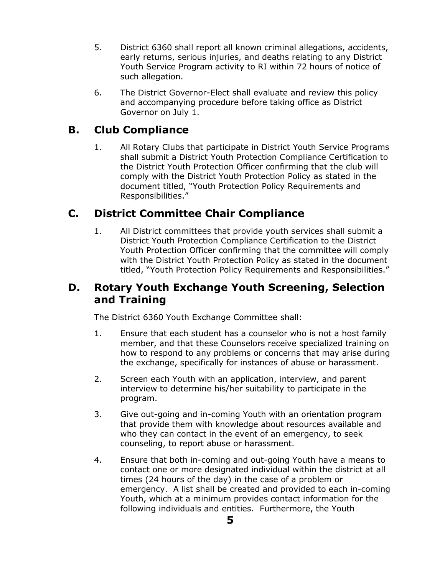- 5. District 6360 shall report all known criminal allegations, accidents, early returns, serious injuries, and deaths relating to any District Youth Service Program activity to RI within 72 hours of notice of such allegation.
- 6. The District Governor-Elect shall evaluate and review this policy and accompanying procedure before taking office as District Governor on July 1.

#### **B. Club Compliance**

1. All Rotary Clubs that participate in District Youth Service Programs shall submit a District Youth Protection Compliance Certification to the District Youth Protection Officer confirming that the club will comply with the District Youth Protection Policy as stated in the document titled, "Youth Protection Policy Requirements and Responsibilities."

#### **C. District Committee Chair Compliance**

1. All District committees that provide youth services shall submit a District Youth Protection Compliance Certification to the District Youth Protection Officer confirming that the committee will comply with the District Youth Protection Policy as stated in the document titled, "Youth Protection Policy Requirements and Responsibilities."

#### **D. Rotary Youth Exchange Youth Screening, Selection and Training**

The District 6360 Youth Exchange Committee shall:

- 1. Ensure that each student has a counselor who is not a host family member, and that these Counselors receive specialized training on how to respond to any problems or concerns that may arise during the exchange, specifically for instances of abuse or harassment.
- 2. Screen each Youth with an application, interview, and parent interview to determine his/her suitability to participate in the program.
- 3. Give out-going and in-coming Youth with an orientation program that provide them with knowledge about resources available and who they can contact in the event of an emergency, to seek counseling, to report abuse or harassment.
- 4. Ensure that both in-coming and out-going Youth have a means to contact one or more designated individual within the district at all times (24 hours of the day) in the case of a problem or emergency. A list shall be created and provided to each in-coming Youth, which at a minimum provides contact information for the following individuals and entities. Furthermore, the Youth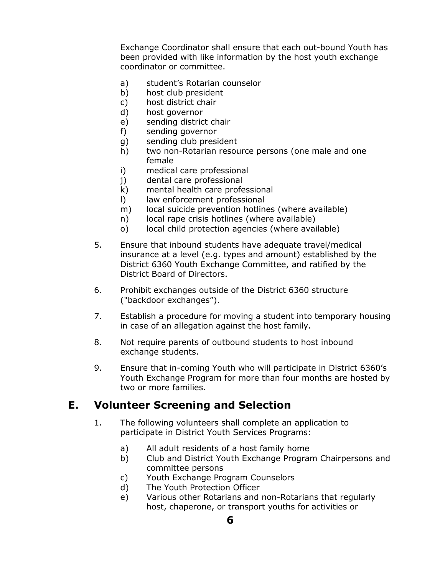Exchange Coordinator shall ensure that each out-bound Youth has been provided with like information by the host youth exchange coordinator or committee.

- a) student's Rotarian counselor
- b) host club president
- c) host district chair
- d) host governor
- e) sending district chair
- f) sending governor
- g) sending club president
- h) two non-Rotarian resource persons (one male and one female
- i) medical care professional
- j) dental care professional
- k) mental health care professional
- l) law enforcement professional
- m) local suicide prevention hotlines (where available)
- n) local rape crisis hotlines (where available)
- o) local child protection agencies (where available)
- 5. Ensure that inbound students have adequate travel/medical insurance at a level (e.g. types and amount) established by the District 6360 Youth Exchange Committee, and ratified by the District Board of Directors.
- 6. Prohibit exchanges outside of the District 6360 structure ("backdoor exchanges").
- 7. Establish a procedure for moving a student into temporary housing in case of an allegation against the host family.
- 8. Not require parents of outbound students to host inbound exchange students.
- 9. Ensure that in-coming Youth who will participate in District 6360's Youth Exchange Program for more than four months are hosted by two or more families.

#### <span id="page-5-0"></span>**E. Volunteer Screening and Selection**

- 1. The following volunteers shall complete an application to participate in District Youth Services Programs:
	- a) All adult residents of a host family home
	- b) Club and District Youth Exchange Program Chairpersons and committee persons
	- c) Youth Exchange Program Counselors
	- d) The Youth Protection Officer
	- e) Various other Rotarians and non-Rotarians that regularly host, chaperone, or transport youths for activities or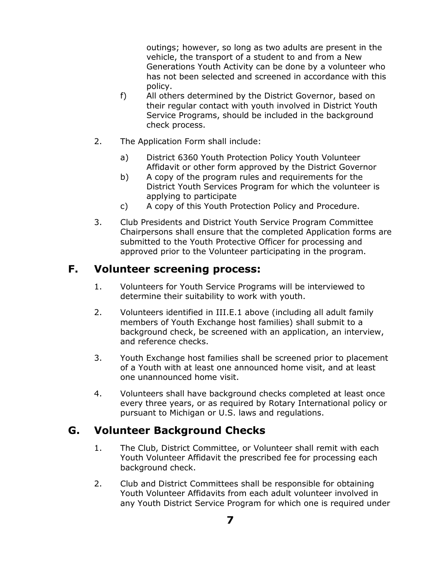outings; however, so long as two adults are present in the vehicle, the transport of a student to and from a New Generations Youth Activity can be done by a volunteer who has not been selected and screened in accordance with this policy.

- f) All others determined by the District Governor, based on their regular contact with youth involved in District Youth Service Programs, should be included in the background check process.
- 2. The Application Form shall include:
	- a) District 6360 Youth Protection Policy Youth Volunteer Affidavit or other form approved by the District Governor
	- b) A copy of the program rules and requirements for the District Youth Services Program for which the volunteer is applying to participate
	- c) A copy of this Youth Protection Policy and Procedure.
- 3. Club Presidents and District Youth Service Program Committee Chairpersons shall ensure that the completed Application forms are submitted to the Youth Protective Officer for processing and approved prior to the Volunteer participating in the program.

#### **F. Volunteer screening process:**

- 1. Volunteers for Youth Service Programs will be interviewed to determine their suitability to work with youth.
- 2. Volunteers identified in [III.E.1 above](#page-5-0) (including all adult family members of Youth Exchange host families) shall submit to a background check, be screened with an application, an interview, and reference checks.
- 3. Youth Exchange host families shall be screened prior to placement of a Youth with at least one announced home visit, and at least one unannounced home visit.
- 4. Volunteers shall have background checks completed at least once every three years, or as required by Rotary International policy or pursuant to Michigan or U.S. laws and regulations.

#### **G. Volunteer Background Checks**

- 1. The Club, District Committee, or Volunteer shall remit with each Youth Volunteer Affidavit the prescribed fee for processing each background check.
- 2. Club and District Committees shall be responsible for obtaining Youth Volunteer Affidavits from each adult volunteer involved in any Youth District Service Program for which one is required under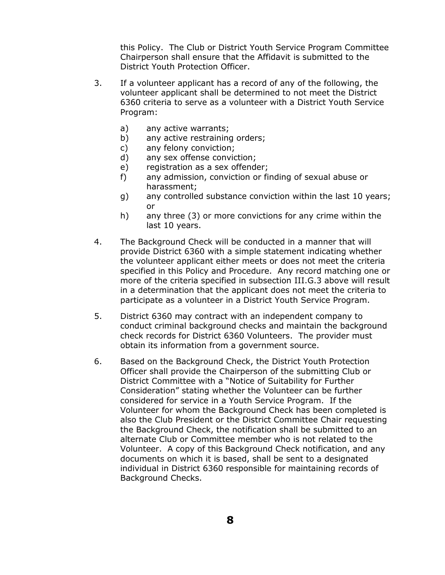this Policy. The Club or District Youth Service Program Committee Chairperson shall ensure that the Affidavit is submitted to the District Youth Protection Officer.

- <span id="page-7-0"></span>3. If a volunteer applicant has a record of any of the following, the volunteer applicant shall be determined to not meet the District 6360 criteria to serve as a volunteer with a District Youth Service Program:
	- a) any active warrants;
	- b) any active restraining orders;
	- c) any felony conviction;
	- d) any sex offense conviction;
	- e) registration as a sex offender;
	- f) any admission, conviction or finding of sexual abuse or harassment;
	- g) any controlled substance conviction within the last 10 years; or
	- h) any three (3) or more convictions for any crime within the last 10 years.
- 4. The Background Check will be conducted in a manner that will provide District 6360 with a simple statement indicating whether the volunteer applicant either meets or does not meet the criteria specified in this Policy and Procedure. Any record matching one or more of the criteria specified in subsection [III.G.3 above](#page-7-0) will result in a determination that the applicant does not meet the criteria to participate as a volunteer in a District Youth Service Program.
- 5. District 6360 may contract with an independent company to conduct criminal background checks and maintain the background check records for District 6360 Volunteers. The provider must obtain its information from a government source.
- 6. Based on the Background Check, the District Youth Protection Officer shall provide the Chairperson of the submitting Club or District Committee with a "Notice of Suitability for Further Consideration" stating whether the Volunteer can be further considered for service in a Youth Service Program. If the Volunteer for whom the Background Check has been completed is also the Club President or the District Committee Chair requesting the Background Check, the notification shall be submitted to an alternate Club or Committee member who is not related to the Volunteer. A copy of this Background Check notification, and any documents on which it is based, shall be sent to a designated individual in District 6360 responsible for maintaining records of Background Checks.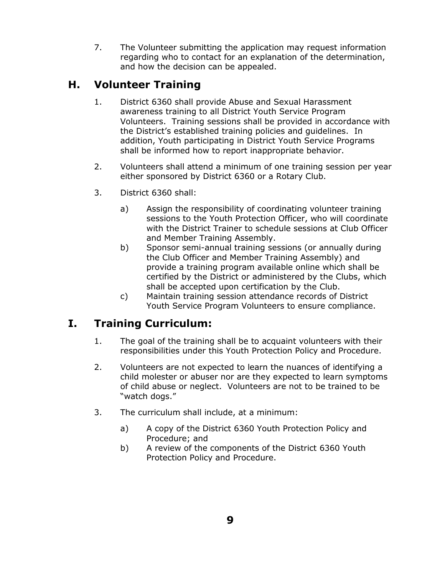7. The Volunteer submitting the application may request information regarding who to contact for an explanation of the determination, and how the decision can be appealed.

#### **H. Volunteer Training**

- 1. District 6360 shall provide Abuse and Sexual Harassment awareness training to all District Youth Service Program Volunteers. Training sessions shall be provided in accordance with the District's established training policies and guidelines. In addition, Youth participating in District Youth Service Programs shall be informed how to report inappropriate behavior.
- 2. Volunteers shall attend a minimum of one training session per year either sponsored by District 6360 or a Rotary Club.
- 3. District 6360 shall:
	- a) Assign the responsibility of coordinating volunteer training sessions to the Youth Protection Officer, who will coordinate with the District Trainer to schedule sessions at Club Officer and Member Training Assembly.
	- b) Sponsor semi-annual training sessions (or annually during the Club Officer and Member Training Assembly) and provide a training program available online which shall be certified by the District or administered by the Clubs, which shall be accepted upon certification by the Club.
	- c) Maintain training session attendance records of District Youth Service Program Volunteers to ensure compliance.

## **I. Training Curriculum:**

- 1. The goal of the training shall be to acquaint volunteers with their responsibilities under this Youth Protection Policy and Procedure.
- 2. Volunteers are not expected to learn the nuances of identifying a child molester or abuser nor are they expected to learn symptoms of child abuse or neglect. Volunteers are not to be trained to be "watch dogs."
- 3. The curriculum shall include, at a minimum:
	- a) A copy of the District 6360 Youth Protection Policy and Procedure; and
	- b) A review of the components of the District 6360 Youth Protection Policy and Procedure.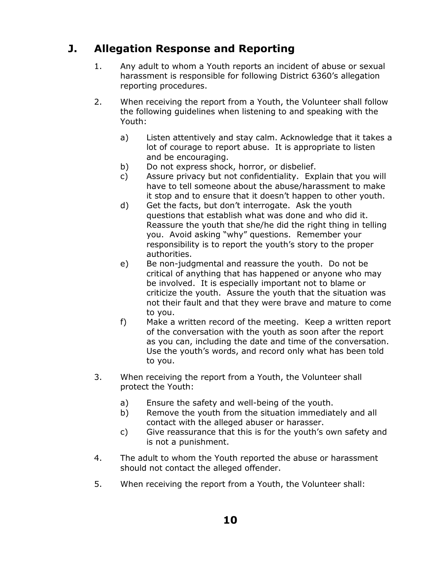# **J. Allegation Response and Reporting**

- 1. Any adult to whom a Youth reports an incident of abuse or sexual harassment is responsible for following District 6360's allegation reporting procedures.
- 2. When receiving the report from a Youth, the Volunteer shall follow the following guidelines when listening to and speaking with the Youth:
	- a) Listen attentively and stay calm. Acknowledge that it takes a lot of courage to report abuse. It is appropriate to listen and be encouraging.
	- b) Do not express shock, horror, or disbelief.
	- c) Assure privacy but not confidentiality. Explain that you will have to tell someone about the abuse/harassment to make it stop and to ensure that it doesn't happen to other youth.
	- d) Get the facts, but don't interrogate. Ask the youth questions that establish what was done and who did it. Reassure the youth that she/he did the right thing in telling you. Avoid asking "why" questions. Remember your responsibility is to report the youth's story to the proper authorities.
	- e) Be non-judgmental and reassure the youth. Do not be critical of anything that has happened or anyone who may be involved. It is especially important not to blame or criticize the youth. Assure the youth that the situation was not their fault and that they were brave and mature to come to you.
	- f) Make a written record of the meeting. Keep a written report of the conversation with the youth as soon after the report as you can, including the date and time of the conversation. Use the youth's words, and record only what has been told to you.
- 3. When receiving the report from a Youth, the Volunteer shall protect the Youth:
	- a) Ensure the safety and well-being of the youth.
	- b) Remove the youth from the situation immediately and all contact with the alleged abuser or harasser.
	- c) Give reassurance that this is for the youth's own safety and is not a punishment.
- 4. The adult to whom the Youth reported the abuse or harassment should not contact the alleged offender.
- 5. When receiving the report from a Youth, the Volunteer shall: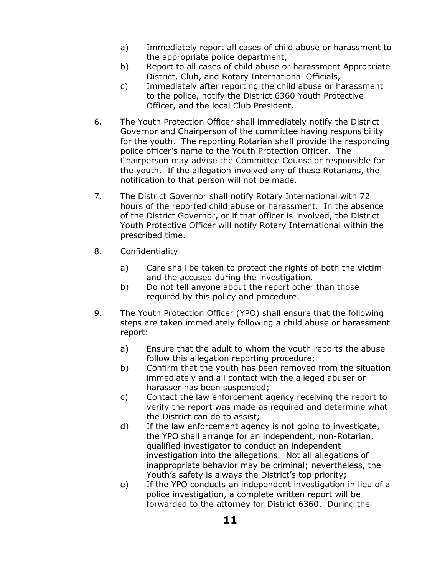- a) Immediately report all cases of child abuse or harassment to the appropriate police department,
- b) Report to all cases of child abuse or harassment Appropriate District, Club, and Rotary International Officials,
- c) Immediately after reporting the child abuse or harassment to the police, notify the District 6360 Youth Protective Officer, and the local Club President.
- 6. The Youth Protection Officer shall immediately notify the District Governor and Chairperson of the committee having responsibility for the youth. The reporting Rotarian shall provide the responding police officer's name to the Youth Protection Officer. The Chairperson may advise the Committee Counselor responsible for the youth. If the allegation involved any of these Rotarians, the notification to that person will not be made.
- 7. The District Governor shall notify Rotary International with 72 hours of the reported child abuse or harassment. In the absence of the District Governor, or if that officer is involved, the District Youth Protective Officer will notify Rotary International within the prescribed time.
- 8. Confidentiality
	- a) Care shall be taken to protect the rights of both the victim and the accused during the investigation.
	- b) Do not tell anyone about the report other than those required by this policy and procedure.
- 9. The Youth Protection Officer (YPO) shall ensure that the following steps are taken immediately following a child abuse or harassment report:
	- a) Ensure that the adult to whom the youth reports the abuse follow this allegation reporting procedure;
	- b) Confirm that the youth has been removed from the situation immediately and all contact with the alleged abuser or harasser has been suspended;
	- c) Contact the law enforcement agency receiving the report to verify the report was made as required and determine what the District can do to assist;
	- d) If the law enforcement agency is not going to investigate, the YPO shall arrange for an independent, non-Rotarian, qualified investigator to conduct an independent investigation into the allegations. Not all allegations of inappropriate behavior may be criminal; nevertheless, the Youth's safety is always the District's top priority;
	- e) If the YPO conducts an independent investigation in lieu of a police investigation, a complete written report will be forwarded to the attorney for District 6360. During the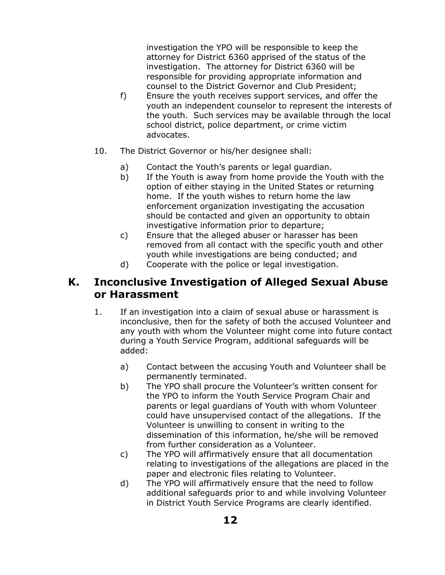investigation the YPO will be responsible to keep the attorney for District 6360 apprised of the status of the investigation. The attorney for District 6360 will be responsible for providing appropriate information and counsel to the District Governor and Club President;

- f) Ensure the youth receives support services, and offer the youth an independent counselor to represent the interests of the youth. Such services may be available through the local school district, police department, or crime victim advocates.
- 10. The District Governor or his/her designee shall:
	- a) Contact the Youth's parents or legal guardian.
	- b) If the Youth is away from home provide the Youth with the option of either staying in the United States or returning home. If the youth wishes to return home the law enforcement organization investigating the accusation should be contacted and given an opportunity to obtain investigative information prior to departure;
	- c) Ensure that the alleged abuser or harasser has been removed from all contact with the specific youth and other youth while investigations are being conducted; and
	- d) Cooperate with the police or legal investigation.

#### **K. Inconclusive Investigation of Alleged Sexual Abuse or Harassment**

- 1. If an investigation into a claim of sexual abuse or harassment is inconclusive, then for the safety of both the accused Volunteer and any youth with whom the Volunteer might come into future contact during a Youth Service Program, additional safeguards will be added:
	- a) Contact between the accusing Youth and Volunteer shall be permanently terminated.
	- b) The YPO shall procure the Volunteer's written consent for the YPO to inform the Youth Service Program Chair and parents or legal guardians of Youth with whom Volunteer could have unsupervised contact of the allegations. If the Volunteer is unwilling to consent in writing to the dissemination of this information, he/she will be removed from further consideration as a Volunteer.
	- c) The YPO will affirmatively ensure that all documentation relating to investigations of the allegations are placed in the paper and electronic files relating to Volunteer.
	- d) The YPO will affirmatively ensure that the need to follow additional safeguards prior to and while involving Volunteer in District Youth Service Programs are clearly identified.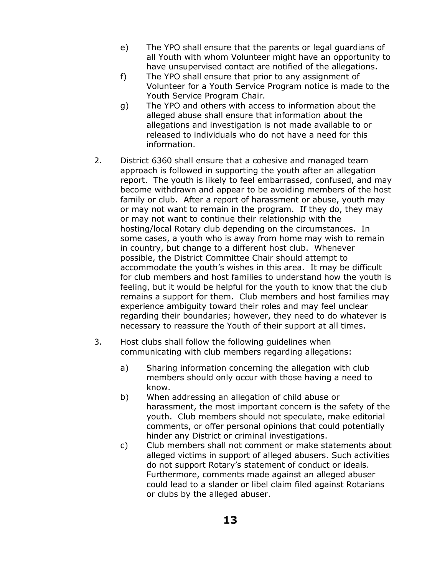- e) The YPO shall ensure that the parents or legal guardians of all Youth with whom Volunteer might have an opportunity to have unsupervised contact are notified of the allegations.
- f) The YPO shall ensure that prior to any assignment of Volunteer for a Youth Service Program notice is made to the Youth Service Program Chair.
- g) The YPO and others with access to information about the alleged abuse shall ensure that information about the allegations and investigation is not made available to or released to individuals who do not have a need for this information.
- 2. District 6360 shall ensure that a cohesive and managed team approach is followed in supporting the youth after an allegation report. The youth is likely to feel embarrassed, confused, and may become withdrawn and appear to be avoiding members of the host family or club. After a report of harassment or abuse, youth may or may not want to remain in the program. If they do, they may or may not want to continue their relationship with the hosting/local Rotary club depending on the circumstances. In some cases, a youth who is away from home may wish to remain in country, but change to a different host club. Whenever possible, the District Committee Chair should attempt to accommodate the youth's wishes in this area. It may be difficult for club members and host families to understand how the youth is feeling, but it would be helpful for the youth to know that the club remains a support for them. Club members and host families may experience ambiguity toward their roles and may feel unclear regarding their boundaries; however, they need to do whatever is necessary to reassure the Youth of their support at all times.
- 3. Host clubs shall follow the following guidelines when communicating with club members regarding allegations:
	- a) Sharing information concerning the allegation with club members should only occur with those having a need to know.
	- b) When addressing an allegation of child abuse or harassment, the most important concern is the safety of the youth. Club members should not speculate, make editorial comments, or offer personal opinions that could potentially hinder any District or criminal investigations.
	- c) Club members shall not comment or make statements about alleged victims in support of alleged abusers. Such activities do not support Rotary's statement of conduct or ideals. Furthermore, comments made against an alleged abuser could lead to a slander or libel claim filed against Rotarians or clubs by the alleged abuser.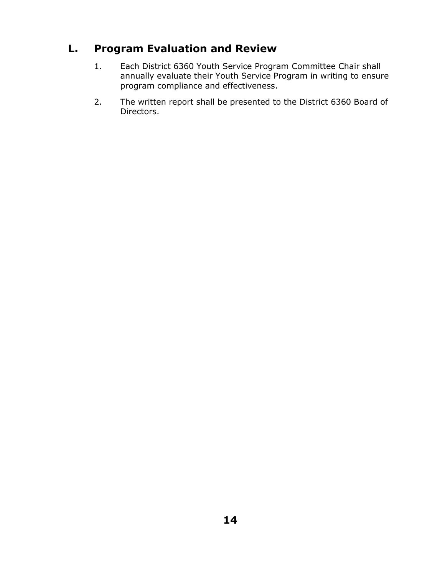# **L. Program Evaluation and Review**

- 1. Each District 6360 Youth Service Program Committee Chair shall annually evaluate their Youth Service Program in writing to ensure program compliance and effectiveness.
- 2. The written report shall be presented to the District 6360 Board of Directors.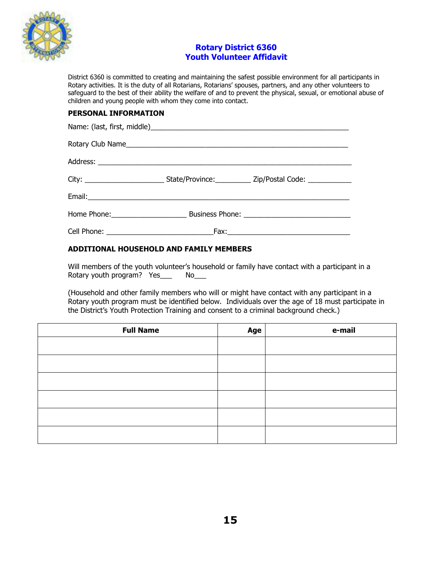

#### **Rotary District 6360 Youth Volunteer Affidavit**

District 6360 is committed to creating and maintaining the safest possible environment for all participants in Rotary activities. It is the duty of all Rotarians, Rotarians' spouses, partners, and any other volunteers to safeguard to the best of their ability the welfare of and to prevent the physical, sexual, or emotional abuse of children and young people with whom they come into contact.

#### **PERSONAL INFORMATION**

| Rotary Club Name |                                                                                                     |
|------------------|-----------------------------------------------------------------------------------------------------|
|                  |                                                                                                     |
|                  | City: ______________________________State/Province: ______________Zip/Postal Code: ________________ |
|                  |                                                                                                     |
|                  |                                                                                                     |
|                  |                                                                                                     |

#### **ADDITIONAL HOUSEHOLD AND FAMILY MEMBERS**

Will members of the youth volunteer's household or family have contact with a participant in a Rotary youth program? Yes\_\_\_\_ No\_\_\_

(Household and other family members who will or might have contact with any participant in a Rotary youth program must be identified below. Individuals over the age of 18 must participate in the District's Youth Protection Training and consent to a criminal background check.)

| <b>Full Name</b> | Age | e-mail |
|------------------|-----|--------|
|                  |     |        |
|                  |     |        |
|                  |     |        |
|                  |     |        |
|                  |     |        |
|                  |     |        |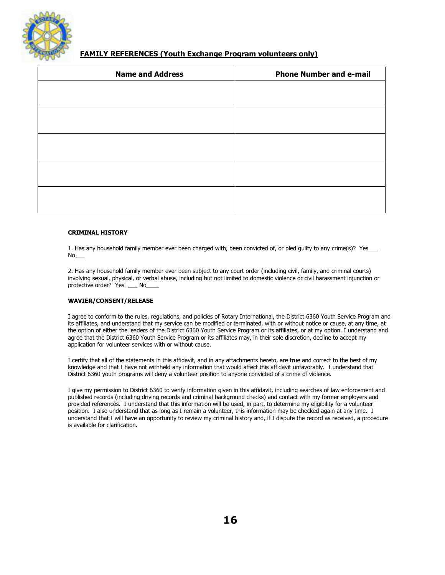

#### **FAMILY REFERENCES (Youth Exchange Program volunteers only)**

| <b>Name and Address</b> | <b>Phone Number and e-mail</b> |
|-------------------------|--------------------------------|
|                         |                                |
|                         |                                |
|                         |                                |
|                         |                                |
|                         |                                |
|                         |                                |
|                         |                                |
|                         |                                |
|                         |                                |
|                         |                                |

#### **CRIMINAL HISTORY**

1. Has any household family member ever been charged with, been convicted of, or pled guilty to any crime(s)? Yes  $No$ 

2. Has any household family member ever been subject to any court order (including civil, family, and criminal courts) involving sexual, physical, or verbal abuse, including but not limited to domestic violence or civil harassment injunction or protective order? Yes No

#### **WAVIER/CONSENT/RELEASE**

I agree to conform to the rules, regulations, and policies of Rotary International, the District 6360 Youth Service Program and its affiliates, and understand that my service can be modified or terminated, with or without notice or cause, at any time, at the option of either the leaders of the District 6360 Youth Service Program or its affiliates, or at my option. I understand and agree that the District 6360 Youth Service Program or its affiliates may, in their sole discretion, decline to accept my application for volunteer services with or without cause.

I certify that all of the statements in this affidavit, and in any attachments hereto, are true and correct to the best of my knowledge and that I have not withheld any information that would affect this affidavit unfavorably. I understand that District 6360 youth programs will deny a volunteer position to anyone convicted of a crime of violence.

I give my permission to District 6360 to verify information given in this affidavit, including searches of law enforcement and published records (including driving records and criminal background checks) and contact with my former employers and provided references. I understand that this information will be used, in part, to determine my eligibility for a volunteer position. I also understand that as long as I remain a volunteer, this information may be checked again at any time. I understand that I will have an opportunity to review my criminal history and, if I dispute the record as received, a procedure is available for clarification.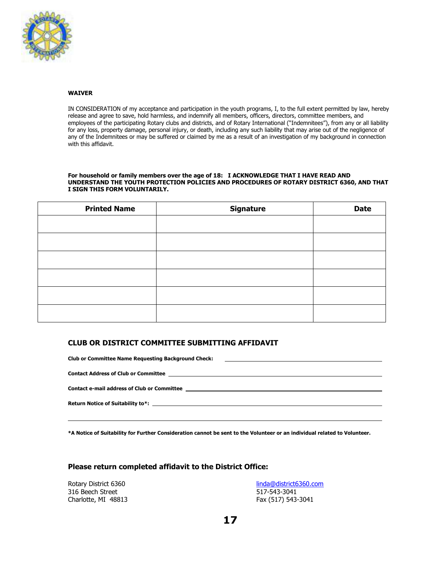

#### **WAIVER**

IN CONSIDERATION of my acceptance and participation in the youth programs, I, to the full extent permitted by law, hereby release and agree to save, hold harmless, and indemnify all members, officers, directors, committee members, and employees of the participating Rotary clubs and districts, and of Rotary International ("Indemnitees"), from any or all liability for any loss, property damage, personal injury, or death, including any such liability that may arise out of the negligence of any of the Indemnitees or may be suffered or claimed by me as a result of an investigation of my background in connection with this affidavit.

#### **For household or family members over the age of 18: I ACKNOWLEDGE THAT I HAVE READ AND UNDERSTAND THE YOUTH PROTECTION POLICIES AND PROCEDURES OF ROTARY DISTRICT 6360, AND THAT I SIGN THIS FORM VOLUNTARILY.**

| <b>Printed Name</b> | <b>Signature</b> | <b>Date</b> |
|---------------------|------------------|-------------|
|                     |                  |             |
|                     |                  |             |
|                     |                  |             |
|                     |                  |             |
|                     |                  |             |
|                     |                  |             |

#### **CLUB OR DISTRICT COMMITTEE SUBMITTING AFFIDAVIT**

| <b>Club or Committee Name Requesting Background Check:</b><br><u> 1988 - Andrea Stadt Britain, actor a component de la componentación de la componentación de la componentación</u>                                                |
|------------------------------------------------------------------------------------------------------------------------------------------------------------------------------------------------------------------------------------|
|                                                                                                                                                                                                                                    |
|                                                                                                                                                                                                                                    |
|                                                                                                                                                                                                                                    |
| Contact e-mail address of Club or Committee <b>that is a set of the set of the contract</b> of the contract of the contract of the contract of the contract of the contract of the contract of the contract of the contract of the |
|                                                                                                                                                                                                                                    |
| Return Notice of Suitability to*: the control of the control of the control of the control of the control of the control of the control of the control of the control of the control of the control of the control of the cont     |
|                                                                                                                                                                                                                                    |
|                                                                                                                                                                                                                                    |

**\*A Notice of Suitability for Further Consideration cannot be sent to the Volunteer or an individual related to Volunteer.**

#### **Please return completed affidavit to the District Office:**

Rotary District 6360 316 Beech Street Charlotte, MI 48813

 $\overline{a}$ 

[linda@district6360.com](mailto:linda@district6360.com) 517-543-3041 Fax (517) 543-3041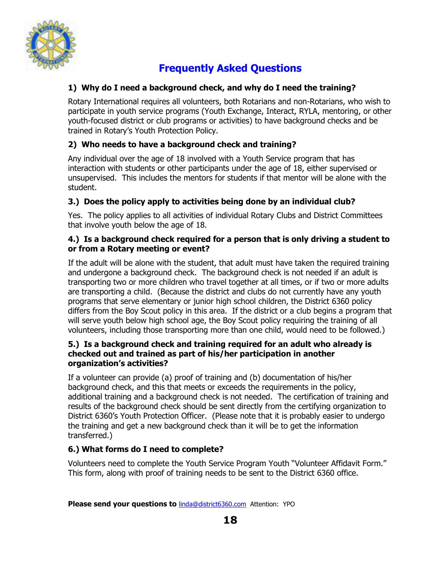

# **Frequently Asked Questions**

#### **1) Why do I need a background check, and why do I need the training?**

Rotary International requires all volunteers, both Rotarians and non-Rotarians, who wish to participate in youth service programs (Youth Exchange, Interact, RYLA, mentoring, or other youth-focused district or club programs or activities) to have background checks and be trained in Rotary's Youth Protection Policy.

#### **2) Who needs to have a background check and training?**

Any individual over the age of 18 involved with a Youth Service program that has interaction with students or other participants under the age of 18, either supervised or unsupervised. This includes the mentors for students if that mentor will be alone with the student.

#### **3.) Does the policy apply to activities being done by an individual club?**

Yes. The policy applies to all activities of individual Rotary Clubs and District Committees that involve youth below the age of 18.

#### **4.) Is a background check required for a person that is only driving a student to or from a Rotary meeting or event?**

If the adult will be alone with the student, that adult must have taken the required training and undergone a background check. The background check is not needed if an adult is transporting two or more children who travel together at all times, or if two or more adults are transporting a child. (Because the district and clubs do not currently have any youth programs that serve elementary or junior high school children, the District 6360 policy differs from the Boy Scout policy in this area. If the district or a club begins a program that will serve youth below high school age, the Boy Scout policy requiring the training of all volunteers, including those transporting more than one child, would need to be followed.)

#### **5.) Is a background check and training required for an adult who already is checked out and trained as part of his/her participation in another organization's activities?**

If a volunteer can provide (a) proof of training and (b) documentation of his/her background check, and this that meets or exceeds the requirements in the policy, additional training and a background check is not needed. The certification of training and results of the background check should be sent directly from the certifying organization to District 6360's Youth Protection Officer. (Please note that it is probably easier to undergo the training and get a new background check than it will be to get the information transferred.)

#### **6.) What forms do I need to complete?**

Volunteers need to complete the Youth Service Program Youth "Volunteer Affidavit Form." This form, along with proof of training needs to be sent to the District 6360 office.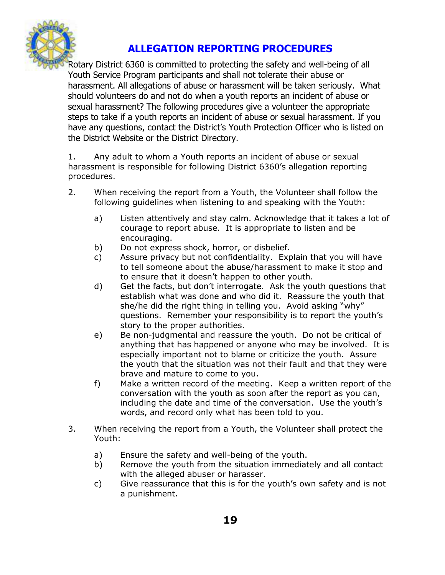

#### **ALLEGATION REPORTING PROCEDURES**

Rotary District 6360 is committed to protecting the safety and well-being of all Youth Service Program participants and shall not tolerate their abuse or harassment. All allegations of abuse or harassment will be taken seriously. What should volunteers do and not do when a youth reports an incident of abuse or sexual harassment? The following procedures give a volunteer the appropriate steps to take if a youth reports an incident of abuse or sexual harassment. If you have any questions, contact the District's Youth Protection Officer who is listed on the District Website or the District Directory.

1. Any adult to whom a Youth reports an incident of abuse or sexual harassment is responsible for following District 6360's allegation reporting procedures.

- 2. When receiving the report from a Youth, the Volunteer shall follow the following guidelines when listening to and speaking with the Youth:
	- a) Listen attentively and stay calm. Acknowledge that it takes a lot of courage to report abuse. It is appropriate to listen and be encouraging.
	- b) Do not express shock, horror, or disbelief.
	- c) Assure privacy but not confidentiality. Explain that you will have to tell someone about the abuse/harassment to make it stop and to ensure that it doesn't happen to other youth.
	- d) Get the facts, but don't interrogate. Ask the youth questions that establish what was done and who did it. Reassure the youth that she/he did the right thing in telling you. Avoid asking "why" questions. Remember your responsibility is to report the youth's story to the proper authorities.
	- e) Be non-judgmental and reassure the youth. Do not be critical of anything that has happened or anyone who may be involved. It is especially important not to blame or criticize the youth. Assure the youth that the situation was not their fault and that they were brave and mature to come to you.
	- f) Make a written record of the meeting. Keep a written report of the conversation with the youth as soon after the report as you can, including the date and time of the conversation. Use the youth's words, and record only what has been told to you.
- 3. When receiving the report from a Youth, the Volunteer shall protect the Youth:
	- a) Ensure the safety and well-being of the youth.
	- b) Remove the youth from the situation immediately and all contact with the alleged abuser or harasser.
	- c) Give reassurance that this is for the youth's own safety and is not a punishment.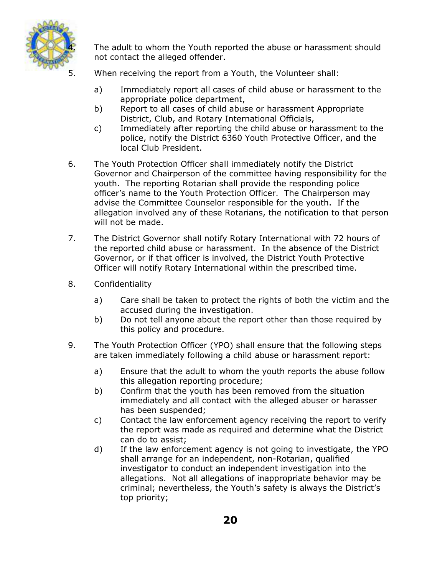

The adult to whom the Youth reported the abuse or harassment should not contact the alleged offender.

- When receiving the report from a Youth, the Volunteer shall:
	- a) Immediately report all cases of child abuse or harassment to the appropriate police department,
	- b) Report to all cases of child abuse or harassment Appropriate District, Club, and Rotary International Officials,
	- c) Immediately after reporting the child abuse or harassment to the police, notify the District 6360 Youth Protective Officer, and the local Club President.
- 6. The Youth Protection Officer shall immediately notify the District Governor and Chairperson of the committee having responsibility for the youth. The reporting Rotarian shall provide the responding police officer's name to the Youth Protection Officer. The Chairperson may advise the Committee Counselor responsible for the youth. If the allegation involved any of these Rotarians, the notification to that person will not be made.
- 7. The District Governor shall notify Rotary International with 72 hours of the reported child abuse or harassment. In the absence of the District Governor, or if that officer is involved, the District Youth Protective Officer will notify Rotary International within the prescribed time.
- 8. Confidentiality
	- a) Care shall be taken to protect the rights of both the victim and the accused during the investigation.
	- b) Do not tell anyone about the report other than those required by this policy and procedure.
- 9. The Youth Protection Officer (YPO) shall ensure that the following steps are taken immediately following a child abuse or harassment report:
	- a) Ensure that the adult to whom the youth reports the abuse follow this allegation reporting procedure;
	- b) Confirm that the youth has been removed from the situation immediately and all contact with the alleged abuser or harasser has been suspended;
	- c) Contact the law enforcement agency receiving the report to verify the report was made as required and determine what the District can do to assist;
	- d) If the law enforcement agency is not going to investigate, the YPO shall arrange for an independent, non-Rotarian, qualified investigator to conduct an independent investigation into the allegations. Not all allegations of inappropriate behavior may be criminal; nevertheless, the Youth's safety is always the District's top priority;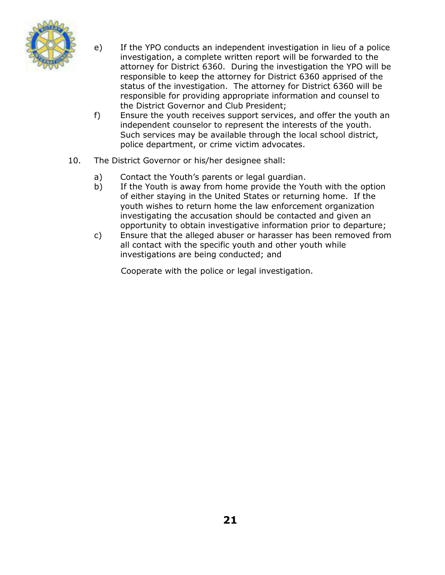

- e) If the YPO conducts an independent investigation in lieu of a police investigation, a complete written report will be forwarded to the attorney for District 6360. During the investigation the YPO will be responsible to keep the attorney for District 6360 apprised of the status of the investigation. The attorney for District 6360 will be responsible for providing appropriate information and counsel to the District Governor and Club President;
- f) Ensure the youth receives support services, and offer the youth an independent counselor to represent the interests of the youth. Such services may be available through the local school district, police department, or crime victim advocates.
- 10. The District Governor or his/her designee shall:
	- a) Contact the Youth's parents or legal guardian.
	- b) If the Youth is away from home provide the Youth with the option of either staying in the United States or returning home. If the youth wishes to return home the law enforcement organization investigating the accusation should be contacted and given an opportunity to obtain investigative information prior to departure;
	- c) Ensure that the alleged abuser or harasser has been removed from all contact with the specific youth and other youth while investigations are being conducted; and

Cooperate with the police or legal investigation.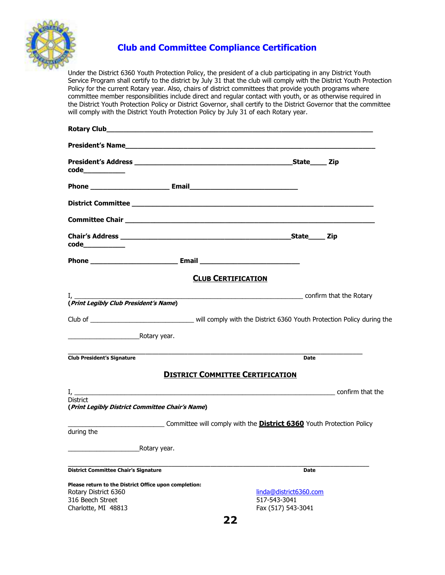

#### **Club and Committee Compliance Certification**

Under the District 6360 Youth Protection Policy, the president of a club participating in any District Youth Service Program shall certify to the district by July 31 that the club will comply with the District Youth Protection Policy for the current Rotary year. Also, chairs of district committees that provide youth programs where committee member responsibilities include direct and regular contact with youth, or as otherwise required in the District Youth Protection Policy or District Governor, shall certify to the District Governor that the committee will comply with the District Youth Protection Policy by July 31 of each Rotary year.

| President's Names and the contract of the contract of the contract of the contract of the contract of the contract of the contract of the contract of the contract of the contract of the contract of the contract of the cont |                                                                             |                                                              |  |
|--------------------------------------------------------------------------------------------------------------------------------------------------------------------------------------------------------------------------------|-----------------------------------------------------------------------------|--------------------------------------------------------------|--|
|                                                                                                                                                                                                                                |                                                                             |                                                              |  |
|                                                                                                                                                                                                                                |                                                                             |                                                              |  |
|                                                                                                                                                                                                                                |                                                                             |                                                              |  |
| Committee Chair <u>Committee Chair</u>                                                                                                                                                                                         |                                                                             |                                                              |  |
|                                                                                                                                                                                                                                |                                                                             |                                                              |  |
|                                                                                                                                                                                                                                |                                                                             |                                                              |  |
|                                                                                                                                                                                                                                | <b>CLUB CERTIFICATION</b>                                                   |                                                              |  |
| (Print Legibly Club President's Name)                                                                                                                                                                                          | confirm that the Rotary                                                     |                                                              |  |
|                                                                                                                                                                                                                                |                                                                             |                                                              |  |
| <b>Example 2018</b> Rotary year.                                                                                                                                                                                               |                                                                             |                                                              |  |
| <b>Club President's Signature</b>                                                                                                                                                                                              |                                                                             | <b>Date</b>                                                  |  |
|                                                                                                                                                                                                                                | <b>DISTRICT COMMITTEE CERTIFICATION</b>                                     |                                                              |  |
| <b>District</b><br>(Print Legibly District Committee Chair's Name)                                                                                                                                                             |                                                                             |                                                              |  |
| during the                                                                                                                                                                                                                     | Committee will comply with the <b>District 6360</b> Youth Protection Policy |                                                              |  |
| Rotary year.                                                                                                                                                                                                                   |                                                                             |                                                              |  |
|                                                                                                                                                                                                                                |                                                                             |                                                              |  |
| <b>District Committee Chair's Signature</b>                                                                                                                                                                                    |                                                                             | Date                                                         |  |
| Please return to the District Office upon completion:<br>Rotary District 6360<br>316 Beech Street<br>Charlotte, MI 48813                                                                                                       |                                                                             | linda@district6360.com<br>517-543-3041<br>Fax (517) 543-3041 |  |
|                                                                                                                                                                                                                                | - -                                                                         |                                                              |  |

**22**